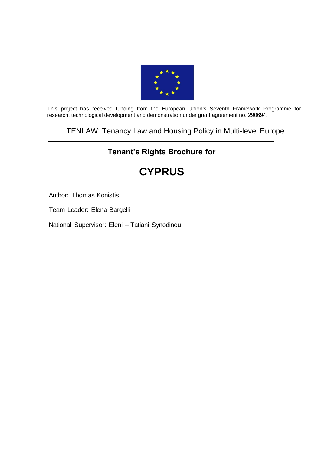

This project has received funding from the European Union's Seventh Framework Programme for research, technological development and demonstration under grant agreement no. 290694.

## TENLAW: Tenancy Law and Housing Policy in Multi-level Europe

# **Tenant's Rights Brochure for**

# **CYPRUS**

Author: Thomas Konistis

Team Leader: Elena Bargelli

National Supervisor: Eleni – Tatiani Synodinou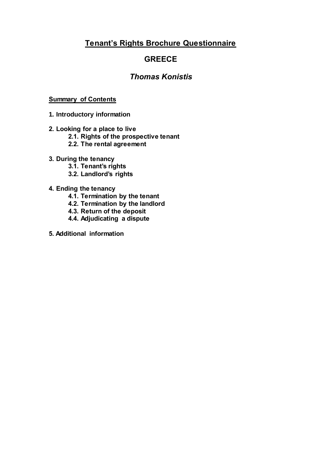# **Tenant's Rights Brochure Questionnaire**

# **GREECE**

# *Thomas Konistis*

## **Summary of Contents**

- **1. Introductory information**
- **2. Looking for a place to live**
	- **2.1. Rights of the prospective tenant**
	- **2.2. The rental agreement**
- **3. During the tenancy**
	- **3.1. Tenant's rights**
	- **3.2. Landlord's rights**
- **4. Ending the tenancy**
	- **4.1. Termination by the tenant**
	- **4.2. Termination by the landlord**
	- **4.3. Return of the deposit**
	- **4.4. Adjudicating a dispute**
- **5. Additional information**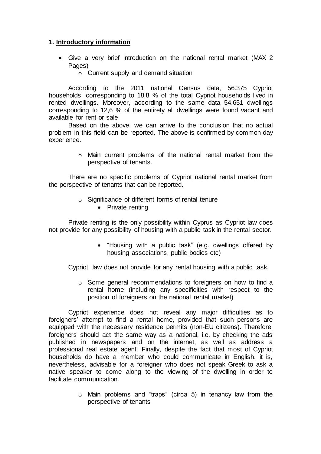## **1. Introductory information**

- Give a very brief introduction on the national rental market (MAX 2 Pages)
	- o Current supply and demand situation

According to the 2011 national Census data, 56.375 Cypriot households, corresponding to 18,8 % of the total Cypriot households lived in rented dwellings. Moreover, according to the same data 54.651 dwellings corresponding to 12,6 % of the entirety all dwellings were found vacant and available for rent or sale

Based on the above, we can arrive to the conclusion that no actual problem in this field can be reported. The above is confirmed by common day experience.

> o Main current problems of the national rental market from the perspective of tenants.

There are no specific problems of Cypriot national rental market from the perspective of tenants that can be reported.

- o Significance of different forms of rental tenure
	- Private renting

Private renting is the only possibility within Cyprus as Cypriot law does not provide for any possibility of housing with a public task in the rental sector.

> "Housing with a public task" (e.g. dwellings offered by housing associations, public bodies etc)

Cypriot law does not provide for any rental housing with a public task.

o Some general recommendations to foreigners on how to find a rental home (including any specificities with respect to the position of foreigners on the national rental market)

Cypriot experience does not reveal any major difficulties as to foreigners' attempt to find a rental home, provided that such persons are equipped with the necessary residence permits (non-EU citizens). Therefore, foreigners should act the same way as a national, i.e. by checking the ads published in newspapers and on the internet, as well as address a professional real estate agent. Finally, despite the fact that most of Cypriot households do have a member who could communicate in English, it is, nevertheless, advisable for a foreigner who does not speak Greek to ask a native speaker to come along to the viewing of the dwelling in order to facilitate communication.

> o Main problems and "traps" (circa 5) in tenancy law from the perspective of tenants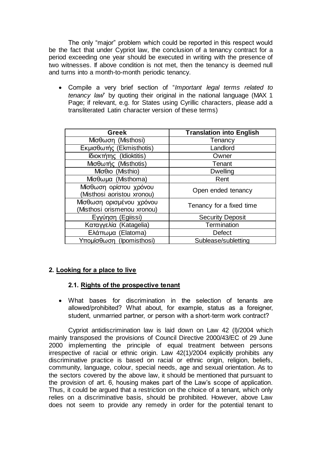The only "major" problem which could be reported in this respect would be the fact that under Cypriot law, the conclusion of a tenancy contract for a period exceeding one year should be executed in writing with the presence of two witnesses. If above condition is not met, then the tenancy is deemed null and turns into a month-to-month periodic tenancy.

 Compile a very brief section of "*Important legal terms related to tenancy law*" by quoting their original in the national language (MAX 1 Page; if relevant, e.g. for States using Cyrillic characters, please add a transliterated Latin character version of these terms)

| <b>Greek</b>                                            | <b>Translation into English</b> |
|---------------------------------------------------------|---------------------------------|
| Μίσθωση (Misthosi)                                      | Tenancy                         |
| Εκμισθωτής (Ekmisthotis)                                | Landlord                        |
| Ιδιοκτήτης (Idioktitis)                                 | Owner                           |
| Μισθωτής (Misthotis)                                    | Tenant                          |
| Míσθιο (Misthio)                                        | <b>Dwelling</b>                 |
| Μίσθωμα (Misthoma)                                      | Rent                            |
| Μίσθωση ορίστου χρόνου<br>(Misthosi aoristou xronou)    | Open ended tenancy              |
| Μίσθωση ορισμένου χρόνου<br>(Misthosi orismenou xronou) | Tenancy for a fixed time        |
| Eγγύηση (Egiissi)                                       | <b>Security Deposit</b>         |
| Καταγγελία (Katagelia)                                  | Termination                     |
| Ελάπωμα (Elatoma)                                       | <b>Defect</b>                   |
| Υπομίσθωση (Ipomisthosi)                                | Sublease/subletting             |

## **2. Looking for a place to live**

#### **2.1. Rights of the prospective tenant**

 What bases for discrimination in the selection of tenants are allowed/prohibited? What about, for example, status as a foreigner, student, unmarried partner, or person with a short-term work contract?

Cypriot antidiscrimination law is laid down on Law 42 (I)/2004 which mainly transposed the provisions of Council Directive 2000/43/EC of 29 June 2000 implementing the principle of equal treatment between persons irrespective of racial or ethnic origin. Law 42(1)/2004 explicitly prohibits any discriminative practice is based on racial or ethnic origin, religion, beliefs, community, language, colour, special needs, age and sexual orientation. As to the sectors covered by the above law, it should be mentioned that pursuant to the provision of art. 6, housing makes part of the Law's scope of application. Thus, it could be argued that a restriction on the choice of a tenant, which only relies on a discriminative basis, should be prohibited. However, above Law does not seem to provide any remedy in order for the potential tenant to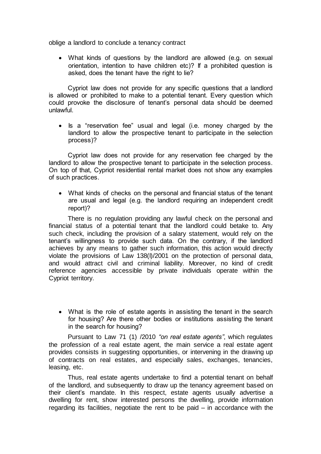oblige a landlord to conclude a tenancy contract

 What kinds of questions by the landlord are allowed (e.g. on sexual orientation, intention to have children etc)? If a prohibited question is asked, does the tenant have the right to lie?

 Cypriot law does not provide for any specific questions that a landlord is allowed or prohibited to make to a potential tenant. Every question which could provoke the disclosure of tenant's personal data should be deemed unlawful.

• Is a "reservation fee" usual and legal (i.e. money charged by the landlord to allow the prospective tenant to participate in the selection process)?

 Cypriot law does not provide for any reservation fee charged by the landlord to allow the prospective tenant to participate in the selection process. On top of that, Cypriot residential rental market does not show any examples of such practices.

 What kinds of checks on the personal and financial status of the tenant are usual and legal (e.g. the landlord requiring an independent credit report)?

There is no regulation providing any lawful check on the personal and financial status of a potential tenant that the landlord could betake to. Any such check, including the provision of a salary statement, would rely on the tenant's willingness to provide such data. On the contrary, if the landlord achieves by any means to gather such information, this action would directly violate the provisions of Law 138(I)/2001 on the protection of personal data, and would attract civil and criminal liability. Moreover, no kind of credit reference agencies accessible by private individuals operate within the Cypriot territory.

• What is the role of estate agents in assisting the tenant in the search for housing? Are there other bodies or institutions assisting the tenant in the search for housing?

Pursuant to Law 71 (1) /2010 *"on real estate agents"*, which regulates the profession of a real estate agent, the main service a real estate agent provides consists in suggesting opportunities, or intervening in the drawing up of contracts on real estates, and especially sales, exchanges, tenancies, leasing, etc.

Thus, real estate agents undertake to find a potential tenant on behalf of the landlord, and subsequently to draw up the tenancy agreement based on their client's mandate. In this respect, estate agents usually advertise a dwelling for rent, show interested persons the dwelling, provide information regarding its facilities, negotiate the rent to be paid – in accordance with the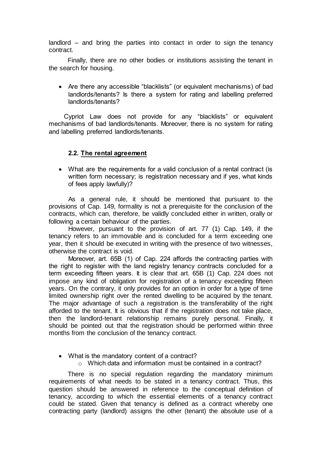landlord – and bring the parties into contact in order to sign the tenancy contract.

Finally, there are no other bodies or institutions assisting the tenant in the search for housing.

 Are there any accessible "blacklists" (or equivalent mechanisms) of bad landlords/tenants? Is there a system for rating and labelling preferred landlords/tenants?

Cypriot Law does not provide for any "blacklists" or equivalent mechanisms of bad landlords/tenants. Moreover, there is no system for rating and labelling preferred landlords/tenants.

#### **2.2. The rental agreement**

 What are the requirements for a valid conclusion of a rental contract (is written form necessary; is registration necessary and if yes, what kinds of fees apply lawfully)?

As a general rule, it should be mentioned that pursuant to the provisions of Cap. 149, formality is not a prerequisite for the conclusion of the contracts, which can, therefore, be validly concluded either in written, orally or following a certain behaviour of the parties.

However, pursuant to the provision of art. 77 (1) Cap. 149, if the tenancy refers to an immovable and is concluded for a term exceeding one year, then it should be executed in writing with the presence of two witnesses, otherwise the contract is void.

Moreover, art. 65B (1) of Cap. 224 affords the contracting parties with the right to register with the land registry tenancy contracts concluded for a term exceeding fifteen years. It is clear that art. 65B (1) Cap. 224 does not impose any kind of obligation for registration of a tenancy exceeding fifteen years. On the contrary, it only provides for an option in order for a type of time limited ownership right over the rented dwelling to be acquired by the tenant. The major advantage of such a registration is the transferability of the right afforded to the tenant. It is obvious that if the registration does not take place, then the landlord-tenant relationship remains purely personal. Finally, it should be pointed out that the registration should be performed within three months from the conclusion of the tenancy contract.

- What is the mandatory content of a contract?
	- o Which data and information must be contained in a contract?

There is no special regulation regarding the mandatory minimum requirements of what needs to be stated in a tenancy contract. Thus, this question should be answered in reference to the conceptual definition of tenancy, according to which the essential elements of a tenancy contract could be stated. Given that tenancy is defined as a contract whereby one contracting party (landlord) assigns the other (tenant) the absolute use of a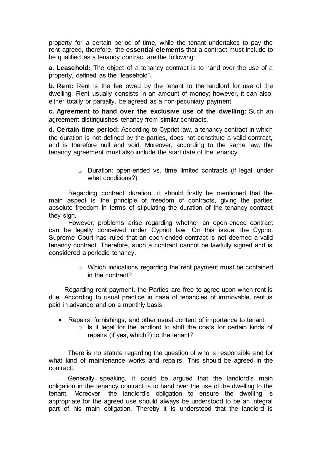property for a certain period of time, while the tenant undertakes to pay the rent agreed, therefore, the **essential elements** that a contract must include to be qualified as a tenancy contract are the following:

**a. Leasehold:** The object of a tenancy contract is to hand over the use of a property, defined as the "leasehold".

**b. Rent:** Rent is the fee owed by the tenant to the landlord for use of the dwelling. Rent usually consists in an amount of money; however, it can also, either totally or partially, be agreed as a non-pecuniary payment.

**c. Agreement to hand over the exclusive use of the dwelling:** Such an agreement distinguishes tenancy from similar contracts.

**d. Certain time period:** According to Cypriot law, a tenancy contract in which the duration is not defined by the parties, does not constitute a valid contract, and is therefore null and void. Moreover, according to the same law, the tenancy agreement must also include the start date of the tenancy.

> o Duration: open-ended vs. time limited contracts (if legal, under what conditions?)

Regarding contract duration, it should firstly be mentioned that the main aspect is the principle of freedom of contracts, giving the parties absolute freedom in terms of stipulating the duration of the tenancy contract they sign.

However, problems arise regarding whether an open-ended contract can be legally conceived under Cypriot law. On this issue, the Cypriot Supreme Court has ruled that an open-ended contract is not deemed a valid tenancy contract. Therefore, such a contract cannot be lawfully signed and is considered a periodic tenancy.

> o Which indications regarding the rent payment must be contained in the contract?

 Regarding rent payment, the Parties are free to agree upon when rent is due. According to usual practice in case of tenancies of immovable, rent is paid in advance and on a monthly basis.

- Repairs, furnishings, and other usual content of importance to tenant
	- $\circ$  Is it legal for the landlord to shift the costs for certain kinds of repairs (if yes, which?) to the tenant?

There is no statute regarding the question of who is responsible and for what kind of maintenance works and repairs. This should be agreed in the contract.

Generally speaking, it could be argued that the landlord's main obligation in the tenancy contract is to hand over the use of the dwelling to the tenant. Moreover, the landlord's obligation to ensure the dwelling is appropriate for the agreed use should always be understood to be an integral part of his main obligation. Thereby it is understood that the landlord is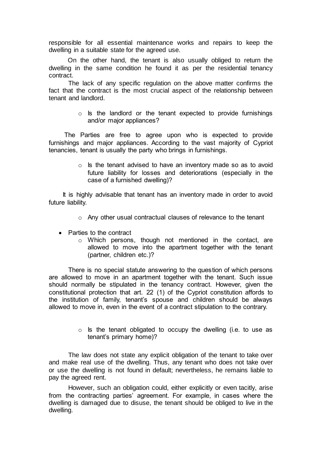responsible for all essential maintenance works and repairs to keep the dwelling in a suitable state for the agreed use.

On the other hand, the tenant is also usually obliged to return the dwelling in the same condition he found it as per the residential tenancy contract.

The lack of any specific regulation on the above matter confirms the fact that the contract is the most crucial aspect of the relationship between tenant and landlord.

> $\circ$  Is the landlord or the tenant expected to provide furnishings and/or major appliances?

 The Parties are free to agree upon who is expected to provide furnishings and major appliances. According to the vast majority of Cypriot tenancies, tenant is usually the party who brings in furnishings.

> o Is the tenant advised to have an inventory made so as to avoid future liability for losses and deteriorations (especially in the case of a furnished dwelling)?

 It is highly advisable that tenant has an inventory made in order to avoid future liability.

- o Any other usual contractual clauses of relevance to the tenant
- Parties to the contract
	- o Which persons, though not mentioned in the contact, are allowed to move into the apartment together with the tenant (partner, children etc.)?

There is no special statute answering to the question of which persons are allowed to move in an apartment together with the tenant. Such issue should normally be stipulated in the tenancy contract. However, given the constitutional protection that art. 22 (1) of the Cypriot constitution affords to the institution of family, tenant's spouse and children should be always allowed to move in, even in the event of a contract stipulation to the contrary.

> $\circ$  is the tenant obligated to occupy the dwelling (i.e. to use as tenant's primary home)?

The law does not state any explicit obligation of the tenant to take over and make real use of the dwelling. Thus, any tenant who does not take over or use the dwelling is not found in default; nevertheless, he remains liable to pay the agreed rent.

However, such an obligation could, either explicitly or even tacitly, arise from the contracting parties' agreement. For example, in cases where the dwelling is damaged due to disuse, the tenant should be obliged to live in the dwelling.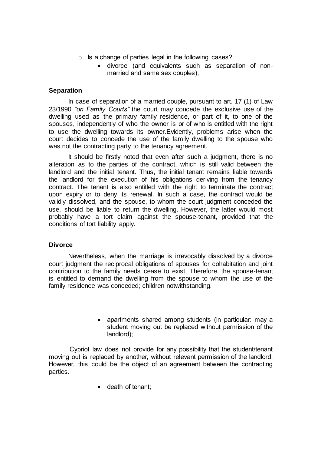- $\circ$  Is a change of parties legal in the following cases?
	- divorce (and equivalents such as separation of nonmarried and same sex couples);

#### **Separation**

In case of separation of a married couple, pursuant to art. 17 (1) of Law 23/1990 *"on Family Courts"* the court may concede the exclusive use of the dwelling used as the primary family residence, or part of it, to one of the spouses, independently of who the owner is or of who is entitled with the right to use the dwelling towards its owner.Evidently, problems arise when the court decides to concede the use of the family dwelling to the spouse who was not the contracting party to the tenancy agreement.

It should be firstly noted that even after such a judgment, there is no alteration as to the parties of the contract, which is still valid between the landlord and the initial tenant. Thus, the initial tenant remains liable towards the landlord for the execution of his obligations deriving from the tenancy contract. The tenant is also entitled with the right to terminate the contract upon expiry or to deny its renewal. In such a case, the contract would be validly dissolved, and the spouse, to whom the court judgment conceded the use, should be liable to return the dwelling. However, the latter would most probably have a tort claim against the spouse-tenant, provided that the conditions of tort liability apply.

#### **Divorce**

Nevertheless, when the marriage is irrevocably dissolved by a divorce court judgment the reciprocal obligations of spouses for cohabitation and joint contribution to the family needs cease to exist. Therefore, the spouse-tenant is entitled to demand the dwelling from the spouse to whom the use of the family residence was conceded; children notwithstanding.

> • apartments shared among students (in particular: may a student moving out be replaced without permission of the landlord);

 Cypriot law does not provide for any possibility that the student/tenant moving out is replaced by another, without relevant permission of the landlord. However, this could be the object of an agreement between the contracting parties.

• death of tenant: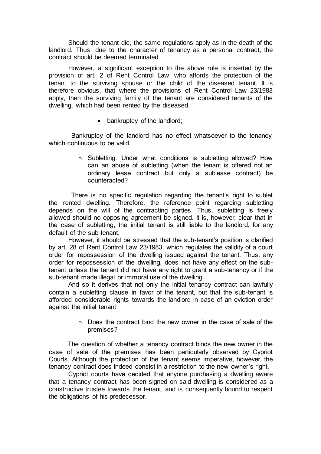Should the tenant die, the same regulations apply as in the death of the landlord. Thus, due to the character of tenancy as a personal contract, the contract should be deemed terminated.

However, a significant exception to the above rule is inserted by the provision of art. 2 of Rent Control Law, who affords the protection of the tenant to the surviving spouse or the child of the diseased tenant*.* It is therefore obvious, that where the provisions of Rent Control Law 23/1983 apply, then the surviving family of the tenant are considered tenants of the dwelling, which had been rented by the diseased.

• bankruptcy of the landlord;

 Bankruptcy of the landlord has no effect whatsoever to the tenancy, which continuous to be valid.

> o Subletting: Under what conditions is subletting allowed? How can an abuse of subletting (when the tenant is offered not an ordinary lease contract but only a sublease contract) be counteracted?

 There is no specific regulation regarding the tenant's right to sublet the rented dwelling. Therefore, the reference point regarding subletting depends on the will of the contracting parties. Thus, subletting is freely allowed should no opposing agreement be signed. It is, however, clear that in the case of subletting, the initial tenant is still liable to the landlord, for any default of the sub-tenant.

However, it should be stressed that the sub-tenant's position is clarified by art. 28 of Rent Control Law 23/1983, which regulates the validity of a court order for repossession of the dwelling issued against the tenant. Thus, any order for repossession of the dwelling, does not have any effect on the subtenant unless the tenant did not have any right to grant a sub-tenancy or if the sub-tenant made illegal or immoral use of the dwelling.

And so it derives that not only the initial tenancy contract can lawfully contain a subletting clause in favor of the tenant, but that the sub-tenant is afforded considerable rights towards the landlord in case of an eviction order against the initial tenant

> $\circ$  Does the contract bind the new owner in the case of sale of the premises?

 The question of whether a tenancy contract binds the new owner in the case of sale of the premises has been particularly observed by Cypriot Courts. Although the protection of the tenant seems imperative, however, the tenancy contract does indeed consist in a restriction to the new owner's right.

Cypriot courts have decided that anyone purchasing a dwelling aware that a tenancy contract has been signed on said dwelling is considered as a constructive trustee towards the tenant, and is consequently bound to respect the obligations of his predecessor.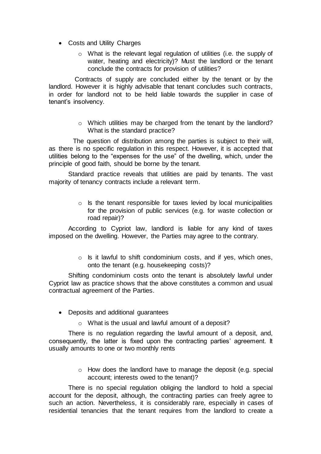- Costs and Utility Charges
	- o What is the relevant legal regulation of utilities (i.e. the supply of water, heating and electricity)? Must the landlord or the tenant conclude the contracts for provision of utilities?

 Contracts of supply are concluded either by the tenant or by the landlord. However it is highly advisable that tenant concludes such contracts, in order for landlord not to be held liable towards the supplier in case of tenant's insolvency.

> o Which utilities may be charged from the tenant by the landlord? What is the standard practice?

 The question of distribution among the parties is subject to their will, as there is no specific regulation in this respect. However, it is accepted that utilities belong to the "expenses for the use" of the dwelling, which, under the principle of good faith, should be borne by the tenant.

Standard practice reveals that utilities are paid by tenants. The vast majority of tenancy contracts include a relevant term.

> $\circ$  Is the tenant responsible for taxes levied by local municipalities for the provision of public services (e.g. for waste collection or road repair)?

According to Cypriot law, landlord is liable for any kind of taxes imposed on the dwelling. However, the Parties may agree to the contrary.

> $\circ$  Is it lawful to shift condominium costs, and if yes, which ones, onto the tenant (e.g. housekeeping costs)?

Shifting condominium costs onto the tenant is absolutely lawful under Cypriot law as practice shows that the above constitutes a common and usual contractual agreement of the Parties.

- Deposits and additional guarantees
	- o What is the usual and lawful amount of a deposit?

There is no regulation regarding the lawful amount of a deposit, and, consequently, the latter is fixed upon the contracting parties' agreement. It usually amounts to one or two monthly rents

> o How does the landlord have to manage the deposit (e.g. special account; interests owed to the tenant)?

There is no special regulation obliging the landlord to hold a special account for the deposit, although, the contracting parties can freely agree to such an action. Nevertheless, it is considerably rare, especially in cases of residential tenancies that the tenant requires from the landlord to create a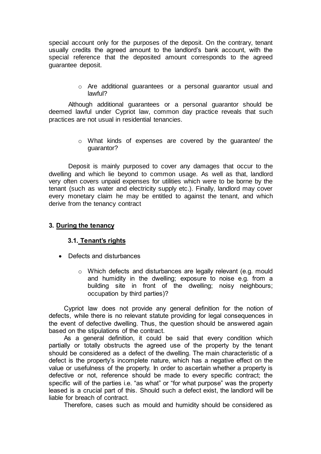special account only for the purposes of the deposit. On the contrary, tenant usually credits the agreed amount to the landlord's bank account, with the special reference that the deposited amount corresponds to the agreed guarantee deposit.

> o Are additional guarantees or a personal guarantor usual and lawful?

Although additional guarantees or a personal guarantor should be deemed lawful under Cypriot law, common day practice reveals that such practices are not usual in residential tenancies.

> o What kinds of expenses are covered by the guarantee/ the guarantor?

Deposit is mainly purposed to cover any damages that occur to the dwelling and which lie beyond to common usage. As well as that, landlord very often covers unpaid expenses for utilities which were to be borne by the tenant (such as water and electricity supply etc.). Finally, landlord may cover every monetary claim he may be entitled to against the tenant, and which derive from the tenancy contract

#### **3. During the tenancy**

#### **3.1. Tenant's rights**

- Defects and disturbances
	- o Which defects and disturbances are legally relevant (e.g. mould and humidity in the dwelling; exposure to noise e.g. from a building site in front of the dwelling; noisy neighbours; occupation by third parties)?

Cypriot law does not provide any general definition for the notion of defects, while there is no relevant statute providing for legal consequences in the event of defective dwelling. Thus, the question should be answered again based on the stipulations of the contract.

As a general definition, it could be said that every condition which partially or totally obstructs the agreed use of the property by the tenant should be considered as a defect of the dwelling. The main characteristic of a defect is the property's incomplete nature, which has a negative effect on the value or usefulness of the property. In order to ascertain whether a property is defective or not, reference should be made to every specific contract; the specific will of the parties i.e. "as what" or "for what purpose" was the property leased is a crucial part of this. Should such a defect exist, the landlord will be liable for breach of contract.

Therefore, cases such as mould and humidity should be considered as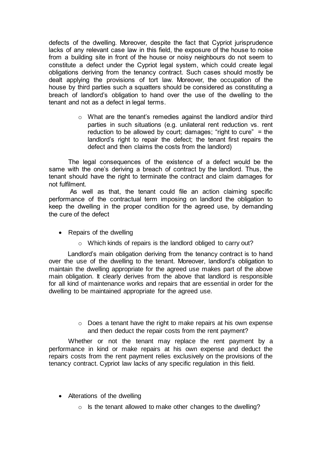defects of the dwelling. Moreover, despite the fact that Cypriot jurisprudence lacks of any relevant case law in this field, the exposure of the house to noise from a building site in front of the house or noisy neighbours do not seem to constitute a defect under the Cypriot legal system, which could create legal obligations deriving from the tenancy contract. Such cases should mostly be dealt applying the provisions of tort law. Moreover, the occupation of the house by third parties such a squatters should be considered as constituting a breach of landlord's obligation to hand over the use of the dwelling to the tenant and not as a defect in legal terms.

> o What are the tenant's remedies against the landlord and/or third parties in such situations (e.g. unilateral rent reduction vs. rent reduction to be allowed by court; damages; "right to cure" = the landlord's right to repair the defect; the tenant first repairs the defect and then claims the costs from the landlord)

The legal consequences of the existence of a defect would be the same with the one's deriving a breach of contract by the landlord. Thus, the tenant should have the right to terminate the contract and claim damages for not fulfilment.

As well as that, the tenant could file an action claiming specific performance of the contractual term imposing on landlord the obligation to keep the dwelling in the proper condition for the agreed use, by demanding the cure of the defect

- Repairs of the dwelling
	- o Which kinds of repairs is the landlord obliged to carry out?

Landlord's main obligation deriving from the tenancy contract is to hand over the use of the dwelling to the tenant. Moreover, landlord's obligation to maintain the dwelling appropriate for the agreed use makes part of the above main obligation. It clearly derives from the above that landlord is responsible for all kind of maintenance works and repairs that are essential in order for the dwelling to be maintained appropriate for the agreed use.

> o Does a tenant have the right to make repairs at his own expense and then deduct the repair costs from the rent payment?

Whether or not the tenant may replace the rent payment by a performance in kind or make repairs at his own expense and deduct the repairs costs from the rent payment relies exclusively on the provisions of the tenancy contract. Cypriot law lacks of any specific regulation in this field.

- Alterations of the dwelling
	- $\circ$  Is the tenant allowed to make other changes to the dwelling?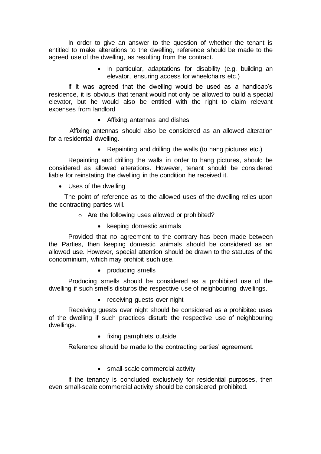In order to give an answer to the question of whether the tenant is entitled to make alterations to the dwelling, reference should be made to the agreed use of the dwelling, as resulting from the contract.

> • In particular, adaptations for disability (e.g. building an elevator, ensuring access for wheelchairs etc.)

If it was agreed that the dwelling would be used as a handicap's residence, it is obvious that tenant would not only be allowed to build a special elevator, but he would also be entitled with the right to claim relevant expenses from landlord

Affixing antennas and dishes

 Affixing antennas should also be considered as an allowed alteration for a residential dwelling.

• Repainting and drilling the walls (to hang pictures etc.)

Repainting and drilling the walls in order to hang pictures, should be considered as allowed alterations. However, tenant should be considered liable for reinstating the dwelling in the condition he received it.

Uses of the dwelling

 The point of reference as to the allowed uses of the dwelling relies upon the contracting parties will.

- o Are the following uses allowed or prohibited?
	- keeping domestic animals

Provided that no agreement to the contrary has been made between the Parties, then keeping domestic animals should be considered as an allowed use. However, special attention should be drawn to the statutes of the condominium, which may prohibit such use.

• producing smells

Producing smells should be considered as a prohibited use of the dwelling if such smells disturbs the respective use of neighbouring dwellings.

• receiving guests over night

Receiving guests over night should be considered as a prohibited uses of the dwelling if such practices disturb the respective use of neighbouring dwellings.

• fixing pamphlets outside

Reference should be made to the contracting parties' agreement.

• small-scale commercial activity

If the tenancy is concluded exclusively for residential purposes, then even small-scale commercial activity should be considered prohibited.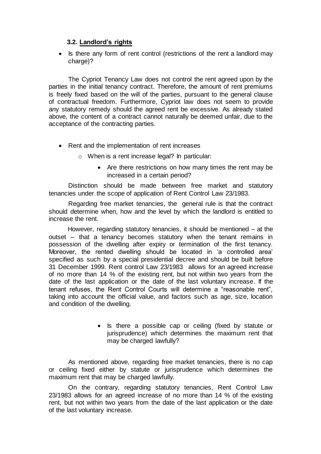### **3.2. Landlord's rights**

• Is there any form of rent control (restrictions of the rent a landlord may charge)?

The Cypriot Tenancy Law does not control the rent agreed upon by the parties in the initial tenancy contract. Therefore, the amount of rent premiums is freely fixed based on the will of the parties, pursuant to the general clause of contractual freedom. Furthermore, Cypriot law does not seem to provide any statutory remedy should the agreed rent be excessive. As already stated above, the content of a contract cannot naturally be deemed unfair, due to the acceptance of the contracting parties.

- Rent and the implementation of rent increases
	- o When is a rent increase legal? In particular:
		- Are there restrictions on how many times the rent may be increased in a certain period?

Distinction should be made between free market and statutory tenancies under the scope of application of Rent Control Law 23/1983.

Regarding free market tenancies, the general rule is that the contract should determine when, how and the level by which the landlord is entitled to increase the rent.

However, regarding statutory tenancies, it should be mentioned – at the outset – that a tenancy becomes statutory when the tenant remains in possession of the dwelling after expiry or termination of the first tenancy. Moreover, the rented dwelling should be located in 'a controlled area' specified as such by a special presidential decree and should be built before 31 December 1999. Rent control Law 23/1983 allows for an agreed increase of no more than 14 % of the existing rent, but not within two years from the date of the last application or the date of the last voluntary increase. If the tenant refuses, the Rent Control Courts will determine a "reasonable rent", taking into account the official value, and factors such as age, size, location and condition of the dwelling.

> • Is there a possible cap or ceiling (fixed by statute or jurisprudence) which determines the maximum rent that may be charged lawfully?

As mentioned above, regarding free market tenancies, there is no cap or ceiling fixed either by statute or jurisprudence which determines the maximum rent that may be charged lawfully.

On the contrary, regarding statutory tenancies, Rent Control Law 23/1983 allows for an agreed increase of no more than 14 % of the existing rent, but not within two years from the date of the last application or the date of the last voluntary increase.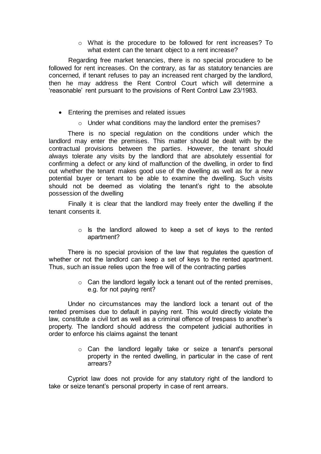o What is the procedure to be followed for rent increases? To what extent can the tenant object to a rent increase?

Regarding free market tenancies, there is no special procudere to be followed for rent increases. On the contrary, as far as statutory tenancies are concerned, if tenant refuses to pay an increased rent charged by the landlord, then he may address the Rent Control Court which will determine a 'reasonable' rent pursuant to the provisions of Rent Control Law 23/1983.

- Entering the premises and related issues
	- o Under what conditions may the landlord enter the premises?

There is no special regulation on the conditions under which the landlord may enter the premises. This matter should be dealt with by the contractual provisions between the parties. However, the tenant should always tolerate any visits by the landlord that are absolutely essential for confirming a defect or any kind of malfunction of the dwelling, in order to find out whether the tenant makes good use of the dwelling as well as for a new potential buyer or tenant to be able to examine the dwelling. Such visits should not be deemed as violating the tenant's right to the absolute possession of the dwelling

Finally it is clear that the landlord may freely enter the dwelling if the tenant consents it.

> o Is the landlord allowed to keep a set of keys to the rented apartment?

There is no special provision of the law that regulates the question of whether or not the landlord can keep a set of keys to the rented apartment. Thus, such an issue relies upon the free will of the contracting parties

> $\circ$  Can the landlord legally lock a tenant out of the rented premises, e.g. for not paying rent?

Under no circumstances may the landlord lock a tenant out of the rented premises due to default in paying rent. This would directly violate the law, constitute a civil tort as well as a criminal offence of trespass to another's property. The landlord should address the competent judicial authorities in order to enforce his claims against the tenant

> o Can the landlord legally take or seize a tenant's personal property in the rented dwelling, in particular in the case of rent arrears?

Cypriot law does not provide for any statutory right of the landlord to take or seize tenant's personal property in case of rent arrears.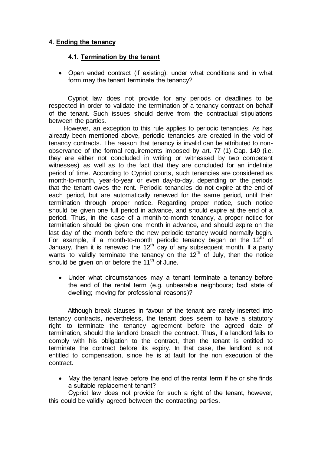## **4. Ending the tenancy**

#### **4.1. Termination by the tenant**

 Open ended contract (if existing): under what conditions and in what form may the tenant terminate the tenancy?

Cypriot law does not provide for any periods or deadlines to be respected in order to validate the termination of a tenancy contract on behalf of the tenant. Such issues should derive from the contractual stipulations between the parties.

However, an exception to this rule applies to periodic tenancies. As has already been mentioned above, periodic tenancies are created in the void of tenancy contracts. The reason that tenancy is invalid can be attributed to nonobservance of the formal requirements imposed by art. 77 (1) Cap. 149 (i.e. they are either not concluded in writing or witnessed by two competent witnesses) as well as to the fact that they are concluded for an indefinite period of time. According to Cypriot courts, such tenancies are considered as month-to-month, year-to-year or even day-to-day, depending on the periods that the tenant owes the rent. Periodic tenancies do not expire at the end of each period, but are automatically renewed for the same period, until their termination through proper notice. Regarding proper notice, such notice should be given one full period in advance, and should expire at the end of a period. Thus, in the case of a month-to-month tenancy, a proper notice for termination should be given one month in advance, and should expire on the last day of the month before the new periodic tenancy would normally begin. For example, if a month-to-month periodic tenancy began on the  $12<sup>th</sup>$  of January, then it is renewed the  $12<sup>th</sup>$  day of any subsequent month. If a party wants to validly terminate the tenancy on the  $12<sup>th</sup>$  of July, then the notice should be given on or before the  $11<sup>th</sup>$  of June.

 Under what circumstances may a tenant terminate a tenancy before the end of the rental term (e.g. unbearable neighbours; bad state of dwelling; moving for professional reasons)?

Although break clauses in favour of the tenant are rarely inserted into tenancy contracts, nevertheless, the tenant does seem to have a statutory right to terminate the tenancy agreement before the agreed date of termination, should the landlord breach the contract. Thus, if a landlord fails to comply with his obligation to the contract, then the tenant is entitled to terminate the contract before its expiry. In that case, the landlord is not entitled to compensation, since he is at fault for the non execution of the contract.

 May the tenant leave before the end of the rental term if he or she finds a suitable replacement tenant?

Cypriot law does not provide for such a right of the tenant, however, this could be validly agreed between the contracting parties.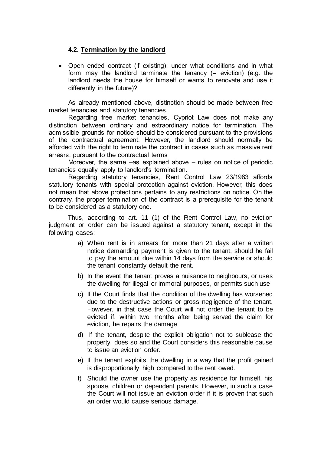## **4.2. Termination by the landlord**

 Open ended contract (if existing): under what conditions and in what form may the landlord terminate the tenancy (= eviction) (e.g. the landlord needs the house for himself or wants to renovate and use it differently in the future)?

As already mentioned above, distinction should be made between free market tenancies and statutory tenancies.

Regarding free market tenancies, Cypriot Law does not make any distinction between ordinary and extraordinary notice for termination. The admissible grounds for notice should be considered pursuant to the provisions of the contractual agreement. However, the landlord should normally be afforded with the right to terminate the contract in cases such as massive rent arrears, pursuant to the contractual terms

Moreover, the same –as explained above – rules on notice of periodic tenancies equally apply to landlord's termination.

Regarding statutory tenancies, Rent Control Law 23/1983 affords statutory tenants with special protection against eviction. However, this does not mean that above protections pertains to any restrictions on notice. On the contrary, the proper termination of the contract is a prerequisite for the tenant to be considered as a statutory one.

Thus, according to art. 11 (1) of the Rent Control Law, no eviction judgment or order can be issued against a statutory tenant, except in the following cases:

- a) When rent is in arrears for more than 21 days after a written notice demanding payment is given to the tenant, should he fail to pay the amount due within 14 days from the service or should the tenant constantly default the rent.
- b) In the event the tenant proves a nuisance to neighbours, or uses the dwelling for illegal or immoral purposes, or permits such use
- c) If the Court finds that the condition of the dwelling has worsened due to the destructive actions or gross negligence of the tenant. However, in that case the Court will not order the tenant to be evicted if, within two months after being served the claim for eviction, he repairs the damage
- d) If the tenant, despite the explicit obligation not to sublease the property, does so and the Court considers this reasonable cause to issue an eviction order.
- e) If the tenant exploits the dwelling in a way that the profit gained is disproportionally high compared to the rent owed.
- f) Should the owner use the property as residence for himself, his spouse, children or dependent parents. However, in such a case the Court will not issue an eviction order if it is proven that such an order would cause serious damage.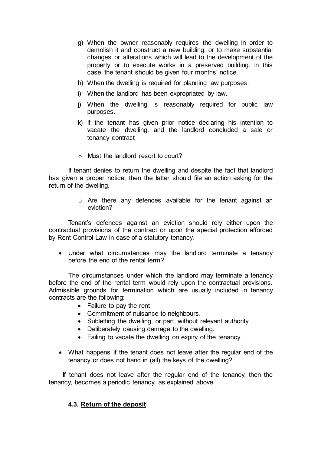- g) When the owner reasonably requires the dwelling in order to demolish it and construct a new building, or to make substantial changes or alterations which will lead to the development of the property or to execute works in a preserved building. In this case, the tenant should be given four months' notice.
- h) When the dwelling is required for planning law purposes.
- i) When the landlord has been expropriated by law.
- j) When the dwelling is reasonably required for public law purposes.
- k) If the tenant has given prior notice declaring his intention to vacate the dwelling, and the landlord concluded a sale or tenancy contract
- o Must the landlord resort to court?

If tenant denies to return the dwelling and despite the fact that landlord has given a proper notice, then the latter should file an action asking for the return of the dwelling.

> o Are there any defences available for the tenant against an eviction?

Tenant's defences against an eviction should rely either upon the contractual provisions of the contract or upon the special protection afforded by Rent Control Law in case of a statutory tenancy.

 Under what circumstances may the landlord terminate a tenancy before the end of the rental term?

The circumstances under which the landlord may terminate a tenancy before the end of the rental term would rely upon the contractual provisions. Admissible grounds for termination which are usually included in tenancy contracts are the following:

- Failure to pay the rent
- Commitment of nuisance to neighbours.
- Subletting the dwelling, or part, without relevant authority.
- Deliberately causing damage to the dwelling.
- Failing to vacate the dwelling on expiry of the tenancy.
- What happens if the tenant does not leave after the regular end of the tenancy or does not hand in (all) the keys of the dwelling?

 If tenant does not leave after the regular end of the tenancy, then the tenancy, becomes a periodic tenancy, as explained above.

#### **4.3. Return of the deposit**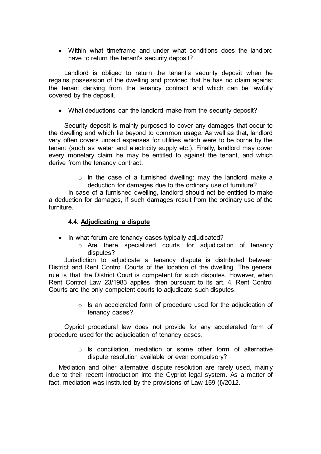Within what timeframe and under what conditions does the landlord have to return the tenant's security deposit?

 Landlord is obliged to return the tenant's security deposit when he regains possession of the dwelling and provided that he has no claim against the tenant deriving from the tenancy contract and which can be lawfully covered by the deposit.

What deductions can the landlord make from the security deposit?

 Security deposit is mainly purposed to cover any damages that occur to the dwelling and which lie beyond to common usage. As well as that, landlord very often covers unpaid expenses for utilities which were to be borne by the tenant (such as water and electricity supply etc.). Finally, landlord may cover every monetary claim he may be entitled to against the tenant, and which derive from the tenancy contract.

> o In the case of a furnished dwelling: may the landlord make a deduction for damages due to the ordinary use of furniture?

In case of a furnished dwelling, landlord should not be entitled to make a deduction for damages, if such damages result from the ordinary use of the furniture.

#### **4.4. Adjudicating a dispute**

- In what forum are tenancy cases typically adjudicated?
	- o Are there specialized courts for adjudication of tenancy disputes?

 Jurisdiction to adjudicate a tenancy dispute is distributed between District and Rent Control Courts of the location of the dwelling. The general rule is that the District Court is competent for such disputes. However, when Rent Control Law 23/1983 applies, then pursuant to its art. 4, Rent Control Courts are the only competent courts to adjudicate such disputes.

> o Is an accelerated form of procedure used for the adjudication of tenancy cases?

 Cypriot procedural law does not provide for any accelerated form of procedure used for the adjudication of tenancy cases.

> o Is conciliation, mediation or some other form of alternative dispute resolution available or even compulsory?

Mediation and other alternative dispute resolution are rarely used, mainly due to their recent introduction into the Cypriot legal system. As a matter of fact, mediation was instituted by the provisions of Law 159 (I)/2012.